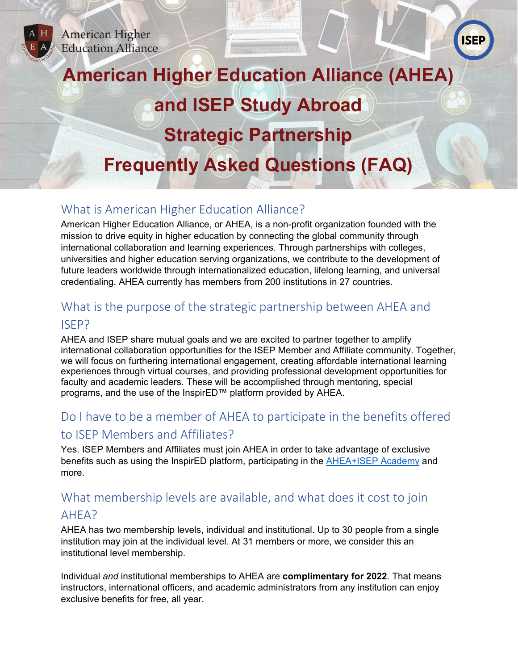



# **American Higher Education Alliance (AHEA) and ISEP Study Abroad Strategic Partnership Frequently Asked Questions (FAQ)**

# What is American Higher Education Alliance?

American Higher Education Alliance, or AHEA, is a non-profit organization founded with the mission to drive equity in higher education by connecting the global community through international collaboration and learning experiences. Through partnerships with colleges, universities and higher education serving organizations, we contribute to the development of future leaders worldwide through internationalized education, lifelong learning, and universal credentialing. AHEA currently has members from 200 institutions in 27 countries.

# What is the purpose of the strategic partnership between AHEA and

### ISEP?

AHEA and ISEP share mutual goals and we are excited to partner together to amplify international collaboration opportunities for the ISEP Member and Affiliate community. Together, we will focus on furthering international engagement, creating affordable international learning experiences through virtual courses, and providing professional development opportunities for faculty and academic leaders. These will be accomplished through mentoring, special programs, and the use of the InspirED™ platform provided by AHEA.

# Do I have to be a member of AHEA to participate in the benefits offered to ISEP Members and Affiliates?

Yes. ISEP Members and Affiliates must join AHEA in order to take advantage of exclusive benefits such as using the InspirED platform, participating in the [AHEA+ISEP Academy](https://www.isepstudyabroad.org/faculty-opportunities/ahea-academy) and more.

## What membership levels are available, and what does it cost to join

## AHEA?

AHEA has two membership levels, individual and institutional. Up to 30 people from a single institution may join at the individual level. At 31 members or more, we consider this an institutional level membership.

Individual *and* institutional memberships to AHEA are **complimentary for 2022**. That means instructors, international officers, and academic administrators from any institution can enjoy exclusive benefits for free, all year.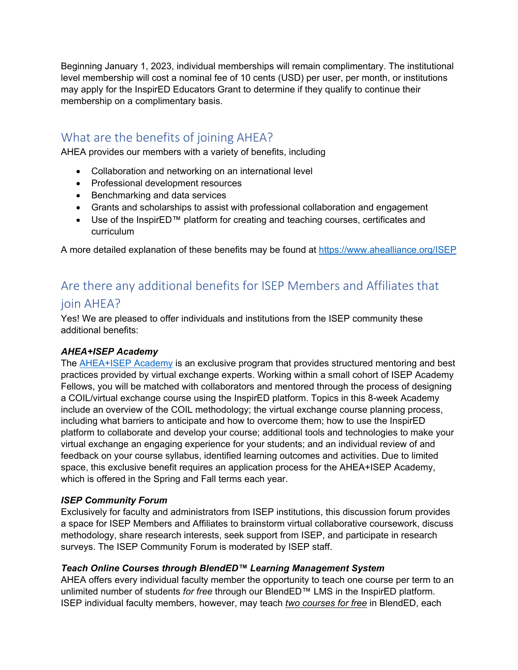Beginning January 1, 2023, individual memberships will remain complimentary. The institutional level membership will cost a nominal fee of 10 cents (USD) per user, per month, or institutions may apply for the InspirED Educators Grant to determine if they qualify to continue their membership on a complimentary basis.

## What are the benefits of joining AHEA?

AHEA provides our members with a variety of benefits, including

- Collaboration and networking on an international level
- Professional development resources
- Benchmarking and data services
- Grants and scholarships to assist with professional collaboration and engagement
- Use of the InspirED™ platform for creating and teaching courses, certificates and curriculum

A more detailed explanation of these benefits may be found at<https://www.ahealliance.org/ISEP>

# Are there any additional benefits for ISEP Members and Affiliates that join AHEA?

Yes! We are pleased to offer individuals and institutions from the ISEP community these additional benefits:

#### *AHEA+ISEP Academy*

The **AHEA+ISEP Academy** is an exclusive program that provides structured mentoring and best practices provided by virtual exchange experts. Working within a small cohort of ISEP Academy Fellows, you will be matched with collaborators and mentored through the process of designing a COIL/virtual exchange course using the InspirED platform. Topics in this 8-week Academy include an overview of the COIL methodology; the virtual exchange course planning process, including what barriers to anticipate and how to overcome them; how to use the InspirED platform to collaborate and develop your course; additional tools and technologies to make your virtual exchange an engaging experience for your students; and an individual review of and feedback on your course syllabus, identified learning outcomes and activities. Due to limited space, this exclusive benefit requires an application process for the AHEA+ISEP Academy, which is offered in the Spring and Fall terms each year.

#### *ISEP Community Forum*

Exclusively for faculty and administrators from ISEP institutions, this discussion forum provides a space for ISEP Members and Affiliates to brainstorm virtual collaborative coursework, discuss methodology, share research interests, seek support from ISEP, and participate in research surveys. The ISEP Community Forum is moderated by ISEP staff.

#### *Teach Online Courses through BlendED™ Learning Management System*

AHEA offers every individual faculty member the opportunity to teach one course per term to an unlimited number of students *for free* through our BlendED™ LMS in the InspirED platform. ISEP individual faculty members, however, may teach *two courses for free* in BlendED, each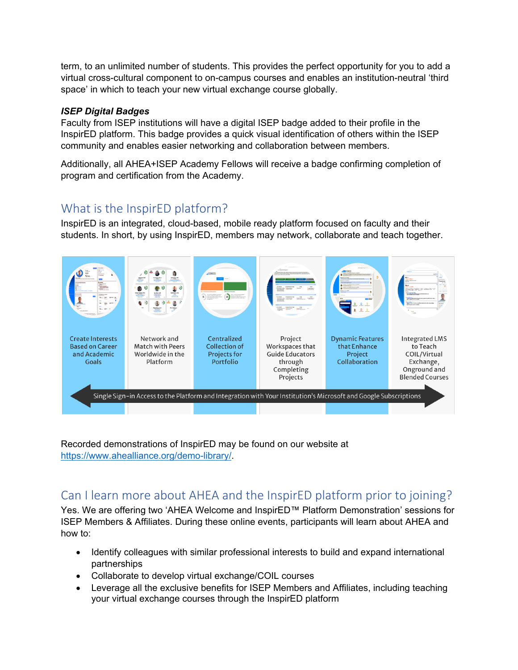term, to an unlimited number of students. This provides the perfect opportunity for you to add a virtual cross-cultural component to on-campus courses and enables an institution-neutral 'third space' in which to teach your new virtual exchange course globally.

#### *ISEP Digital Badges*

Faculty from ISEP institutions will have a digital ISEP badge added to their profile in the InspirED platform. This badge provides a quick visual identification of others within the ISEP community and enables easier networking and collaboration between members.

Additionally, all AHEA+ISEP Academy Fellows will receive a badge confirming completion of program and certification from the Academy.

## What is the InspirED platform?

InspirED is an integrated, cloud-based, mobile ready platform focused on faculty and their students. In short, by using InspirED, members may network, collaborate and teach together.



Recorded demonstrations of InspirED may be found on our website at [https://www.ahealliance.org/demo-library/.](https://www.ahealliance.org/demo-library/)

# Can I learn more about AHEA and the InspirED platform prior to joining?

Yes. We are offering two 'AHEA Welcome and InspirED™ Platform Demonstration' sessions for ISEP Members & Affiliates. During these online events, participants will learn about AHEA and how to:

- Identify colleagues with similar professional interests to build and expand international partnerships
- Collaborate to develop virtual exchange/COIL courses
- Leverage all the exclusive benefits for ISEP Members and Affiliates, including teaching your virtual exchange courses through the InspirED platform